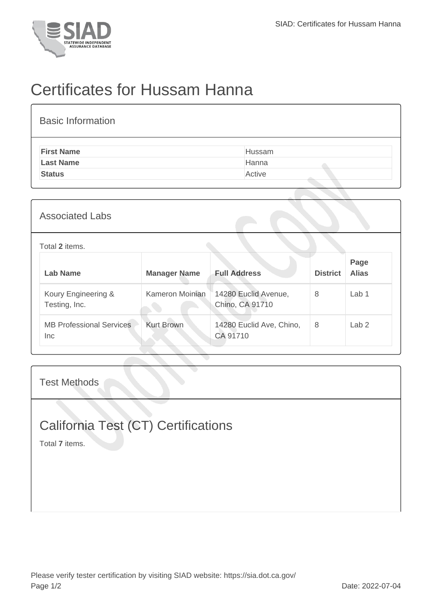

## Certificates for Hussam Hanna

| <b>Basic Information</b> |        |
|--------------------------|--------|
| <b>First Name</b>        | Hussam |
| <b>Last Name</b>         | Hanna  |
| <b>Status</b>            | Active |
|                          |        |

| <b>Associated Labs</b> |  |
|------------------------|--|
|------------------------|--|

## Total **2** items.

| Lab Name                                | <b>Manager Name</b> | <b>Full Address</b>                     | <b>District</b> | Page<br><b>Alias</b> |
|-----------------------------------------|---------------------|-----------------------------------------|-----------------|----------------------|
| Koury Engineering &<br>Testing, Inc.    | Kameron Moinian     | 14280 Euclid Avenue,<br>Chino, CA 91710 | 8               | Lab <sub>1</sub>     |
| <b>MB Professional Services</b><br>Inc. | <b>Kurt Brown</b>   | 14280 Euclid Ave, Chino,<br>CA 91710    | 8               | Lab <sub>2</sub>     |

Test Methods

## California Test (CT) Certifications

Total **7** items.